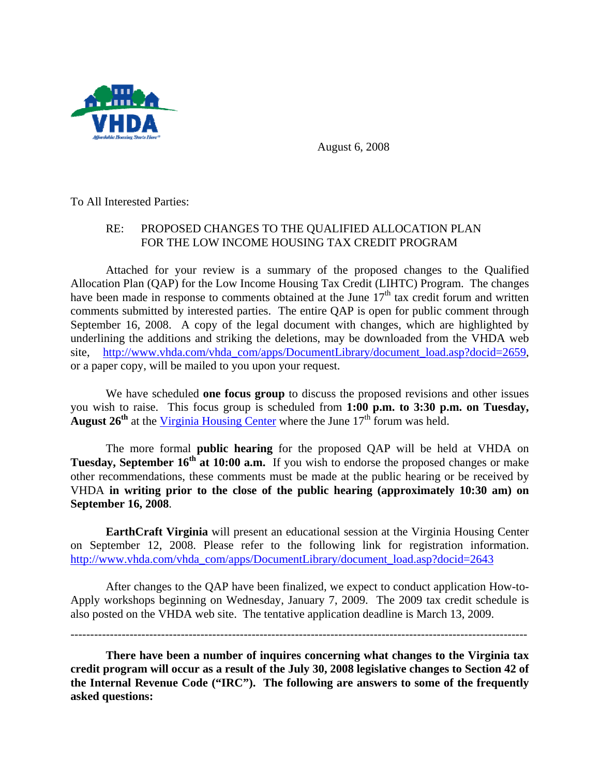

August 6, 2008

To All Interested Parties:

## RE: PROPOSED CHANGES TO THE QUALIFIED ALLOCATION PLAN FOR THE LOW INCOME HOUSING TAX CREDIT PROGRAM

 Attached for your review is a summary of the proposed changes to the Qualified Allocation Plan (QAP) for the Low Income Housing Tax Credit (LIHTC) Program. The changes have been made in response to comments obtained at the June  $17<sup>th</sup>$  tax credit forum and written comments submitted by interested parties. The entire QAP is open for public comment through September 16, 2008. A copy of the legal document with changes, which are highlighted by underlining the additions and striking the deletions, may be downloaded from the VHDA web site, [http://www.vhda.com/vhda\\_com/apps/DocumentLibrary/document\\_load.asp?docid=2659,](http://www.vhda.com/vhda_com/apps/DocumentLibrary/document_load.asp?docid=2659) or a paper copy, will be mailed to you upon your request.

 We have scheduled **one focus group** to discuss the proposed revisions and other issues you wish to raise. This focus group is scheduled from **1:00 p.m. to 3:30 p.m. on Tuesday, August 26<sup>th</sup>** at the [Virginia Housing Center](http://www.vhda.com/vhda_com/Template_a.asp?VHDA_COM_PAGE_NAME=DirectionstotheVirginiaHousingCenter) where the June  $17<sup>th</sup>$  forum was held.

 The more formal **public hearing** for the proposed QAP will be held at VHDA on **Tuesday, September 16<sup>th</sup> at 10:00 a.m.** If you wish to endorse the proposed changes or make other recommendations, these comments must be made at the public hearing or be received by VHDA **in writing prior to the close of the public hearing (approximately 10:30 am) on September 16, 2008**.

 **EarthCraft Virginia** will present an educational session at the Virginia Housing Center on September 12, 2008. Please refer to the following link for registration information. [http://www.vhda.com/vhda\\_com/apps/DocumentLibrary/document\\_load.asp?docid=2643](http://www.vhda.com/vhda_com/apps/DocumentLibrary/document_load.asp?docid=2643) 

 After changes to the QAP have been finalized, we expect to conduct application How-to-Apply workshops beginning on Wednesday, January 7, 2009. The 2009 tax credit schedule is also posted on the VHDA web site. The tentative application deadline is March 13, 2009.

------------------ --------------------------------------------------------------------------------------------------

**There have been a number of inquires concerning what changes to the Virginia tax credit program will occur as a result of the July 30, 2008 legislative changes to Section 42 of the Internal Revenue Code ("IRC"). The following are answers to some of the frequently asked questions:**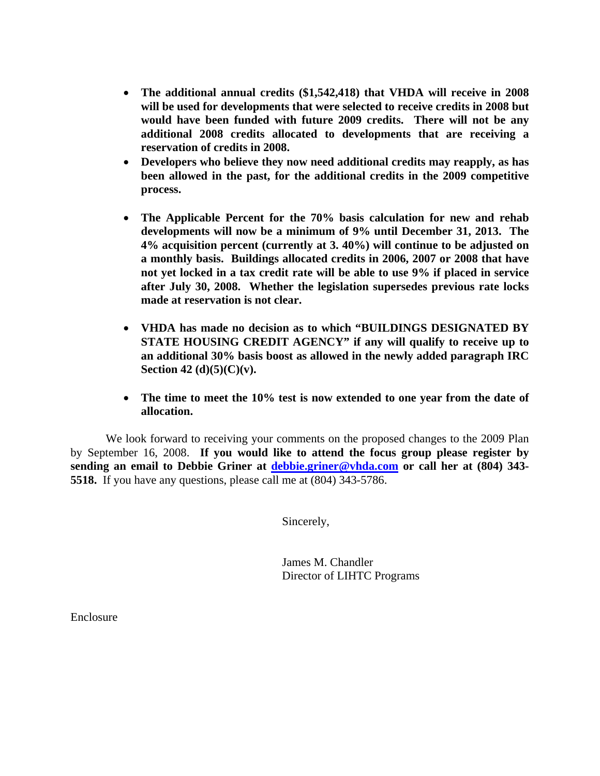- **The additional annual credits (\$1,542,418) that VHDA will receive in 2008 will be used for developments that were selected to receive credits in 2008 but would have been funded with future 2009 credits. There will not be any additional 2008 credits allocated to developments that are receiving a reservation of credits in 2008.**
- **Developers who believe they now need additional credits may reapply, as has been allowed in the past, for the additional credits in the 2009 competitive process.**
- **The Applicable Percent for the 70% basis calculation for new and rehab developments will now be a minimum of 9% until December 31, 2013. The 4% acquisition percent (currently at 3. 40%) will continue to be adjusted on a monthly basis. Buildings allocated credits in 2006, 2007 or 2008 that have not yet locked in a tax credit rate will be able to use 9% if placed in service after July 30, 2008. Whether the legislation supersedes previous rate locks made at reservation is not clear.**
- **VHDA has made no decision as to which "BUILDINGS DESIGNATED BY STATE HOUSING CREDIT AGENCY" if any will qualify to receive up to an additional 30% basis boost as allowed in the newly added paragraph IRC Section 42 (d)(5)(C)(v).**
- **The time to meet the 10% test is now extended to one year from the date of allocation.**

 We look forward to receiving your comments on the proposed changes to the 2009 Plan by September 16, 2008. **If you would like to attend the focus group please register by sending an email to Debbie Griner at [debbie.griner@vhda.com](mailto:debbie.griner@vhda.com) or call her at (804) 343- 5518.** If you have any questions, please call me at (804) 343-5786.

Sincerely,

 James M. Chandler Director of LIHTC Programs

Enclosure